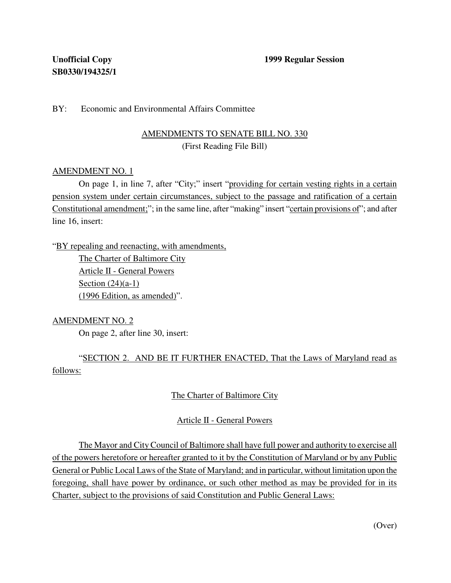### BY: Economic and Environmental Affairs Committee

# AMENDMENTS TO SENATE BILL NO. 330 (First Reading File Bill)

#### AMENDMENT NO. 1

On page 1, in line 7, after "City;" insert "providing for certain vesting rights in a certain pension system under certain circumstances, subject to the passage and ratification of a certain Constitutional amendment;"; in the same line, after "making" insert "certain provisions of"; and after line 16, insert:

"BY repealing and reenacting, with amendments, The Charter of Baltimore City

Article II - General Powers Section  $(24)(a-1)$ (1996 Edition, as amended)".

AMENDMENT NO. 2

On page 2, after line 30, insert:

"SECTION 2. AND BE IT FURTHER ENACTED, That the Laws of Maryland read as follows:

## The Charter of Baltimore City

## Article II - General Powers

The Mayor and City Council of Baltimore shall have full power and authority to exercise all of the powers heretofore or hereafter granted to it by the Constitution of Maryland or by any Public General or Public Local Laws of the State of Maryland; and in particular, without limitation upon the foregoing, shall have power by ordinance, or such other method as may be provided for in its Charter, subject to the provisions of said Constitution and Public General Laws:

(Over)